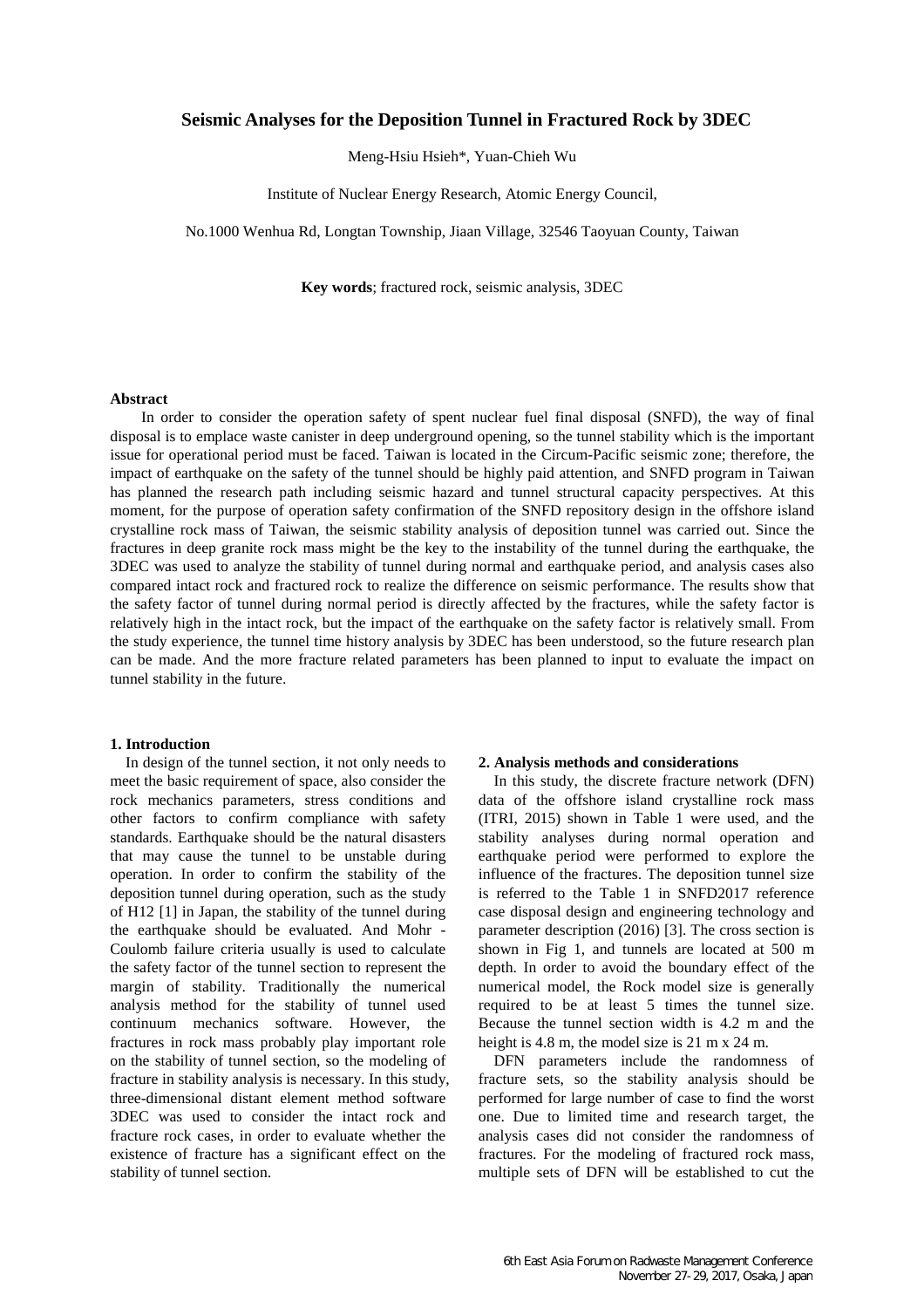# **Seismic Analyses for the Deposition Tunnel in Fractured Rock by 3DEC**

Meng-Hsiu Hsieh\*, Yuan-Chieh Wu

Institute of Nuclear Energy Research, Atomic Energy Council,

No.1000 Wenhua Rd, Longtan Township, Jiaan Village, 32546 Taoyuan County, Taiwan

**Key words**; fractured rock, seismic analysis, 3DEC

### **Abstract**

In order to consider the operation safety of spent nuclear fuel final disposal (SNFD), the way of final disposal is to emplace waste canister in deep underground opening, so the tunnel stability which is the important issue for operational period must be faced. Taiwan is located in the Circum-Pacific seismic zone; therefore, the impact of earthquake on the safety of the tunnel should be highly paid attention, and SNFD program in Taiwan has planned the research path including seismic hazard and tunnel structural capacity perspectives. At this moment, for the purpose of operation safety confirmation of the SNFD repository design in the offshore island crystalline rock mass of Taiwan, the seismic stability analysis of deposition tunnel was carried out. Since the fractures in deep granite rock mass might be the key to the instability of the tunnel during the earthquake, the 3DEC was used to analyze the stability of tunnel during normal and earthquake period, and analysis cases also compared intact rock and fractured rock to realize the difference on seismic performance. The results show that the safety factor of tunnel during normal period is directly affected by the fractures, while the safety factor is relatively high in the intact rock, but the impact of the earthquake on the safety factor is relatively small. From the study experience, the tunnel time history analysis by 3DEC has been understood, so the future research plan can be made. And the more fracture related parameters has been planned to input to evaluate the impact on tunnel stability in the future.

#### **1. Introduction**

In design of the tunnel section, it not only needs to meet the basic requirement of space, also consider the rock mechanics parameters, stress conditions and other factors to confirm compliance with safety standards. Earthquake should be the natural disasters that may cause the tunnel to be unstable during operation. In order to confirm the stability of the deposition tunnel during operation, such as the study of H12 [1] in Japan, the stability of the tunnel during the earthquake should be evaluated. And Mohr - Coulomb failure criteria usually is used to calculate the safety factor of the tunnel section to represent the margin of stability. Traditionally the numerical analysis method for the stability of tunnel used continuum mechanics software. However, the fractures in rock mass probably play important role on the stability of tunnel section, so the modeling of fracture in stability analysis is necessary. In this study, three-dimensional distant element method software 3DEC was used to consider the intact rock and fracture rock cases, in order to evaluate whether the existence of fracture has a significant effect on the stability of tunnel section.

#### **2. Analysis methods and considerations**

In this study, the discrete fracture network (DFN) data of the offshore island crystalline rock mass (ITRI, 2015) shown in Table 1 were used, and the stability analyses during normal operation and earthquake period were performed to explore the influence of the fractures. The deposition tunnel size is referred to the Table 1 in SNFD2017 reference case disposal design and engineering technology and parameter description (2016) [3]. The cross section is shown in Fig 1, and tunnels are located at 500 m depth. In order to avoid the boundary effect of the numerical model, the Rock model size is generally required to be at least 5 times the tunnel size. Because the tunnel section width is 4.2 m and the height is 4.8 m, the model size is 21 m x 24 m.

DFN parameters include the randomness of fracture sets, so the stability analysis should be performed for large number of case to find the worst one. Due to limited time and research target, the analysis cases did not consider the randomness of fractures. For the modeling of fractured rock mass, multiple sets of DFN will be established to cut the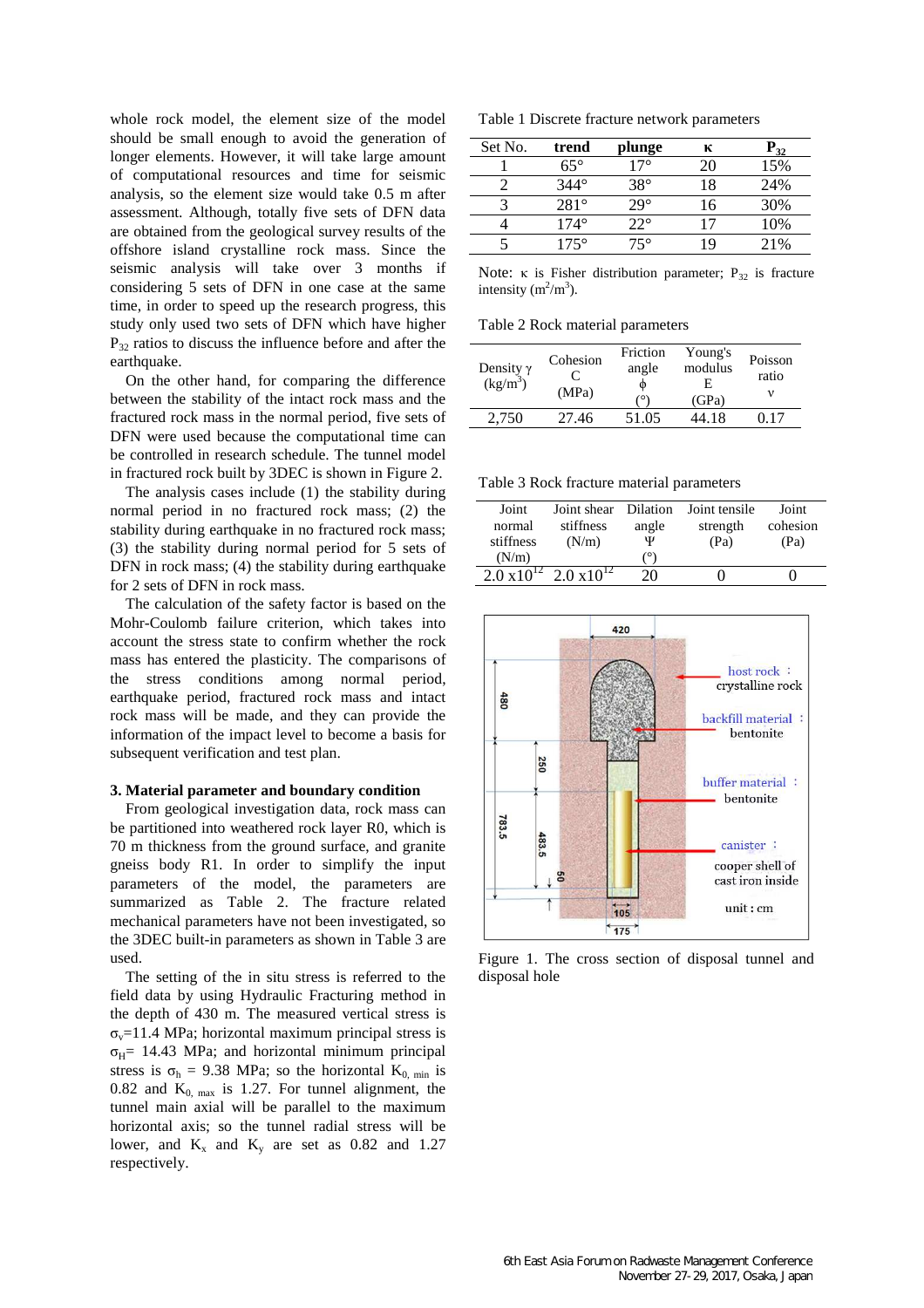whole rock model, the element size of the model should be small enough to avoid the generation of longer elements. However, it will take large amount of computational resources and time for seismic analysis, so the element size would take 0.5 m after assessment. Although, totally five sets of DFN data are obtained from the geological survey results of the offshore island crystalline rock mass. Since the seismic analysis will take over 3 months if considering 5 sets of DFN in one case at the same time, in order to speed up the research progress, this study only used two sets of DFN which have higher  $P_{32}$  ratios to discuss the influence before and after the earthquake.

On the other hand, for comparing the difference between the stability of the intact rock mass and the fractured rock mass in the normal period, five sets of DFN were used because the computational time can be controlled in research schedule. The tunnel model in fractured rock built by 3DEC is shown in Figure 2.

The analysis cases include (1) the stability during normal period in no fractured rock mass; (2) the stability during earthquake in no fractured rock mass; (3) the stability during normal period for 5 sets of DFN in rock mass; (4) the stability during earthquake for 2 sets of DFN in rock mass.

The calculation of the safety factor is based on the Mohr-Coulomb failure criterion, which takes into account the stress state to confirm whether the rock mass has entered the plasticity. The comparisons of the stress conditions among normal period, earthquake period, fractured rock mass and intact rock mass will be made, and they can provide the information of the impact level to become a basis for subsequent verification and test plan.

#### **3. Material parameter and boundary condition**

From geological investigation data, rock mass can be partitioned into weathered rock layer R0, which is 70 m thickness from the ground surface, and granite gneiss body R1. In order to simplify the input parameters of the model, the parameters are summarized as Table 2. The fracture related mechanical parameters have not been investigated, so the 3DEC built-in parameters as shown in Table 3 are used.

The setting of the in situ stress is referred to the field data by using Hydraulic Fracturing method in the depth of 430 m. The measured vertical stress is  $\sigma_v$ =11.4 MPa; horizontal maximum principal stress is  $\sigma_{\text{H}}$ = 14.43 MPa; and horizontal minimum principal stress is  $\sigma_h = 9.38$  MPa; so the horizontal  $K_{0, min}$  is 0.82 and  $K_{0, \text{max}}$  is 1.27. For tunnel alignment, the tunnel main axial will be parallel to the maximum horizontal axis; so the tunnel radial stress will be lower, and  $K_x$  and  $K_y$  are set as 0.82 and 1.27 respectively.

Table 1 Discrete fracture network parameters

| Set No. | trend       | plunge       | к  | ້າາ |
|---------|-------------|--------------|----|-----|
|         | $65^\circ$  | $17^\circ$   | 20 | 15% |
|         | $344^\circ$ | $38^\circ$   | 18 | 24% |
|         | $281^\circ$ | $29^\circ$   | 16 | 30% |
|         | $174^\circ$ | $22^{\circ}$ |    | 10% |
|         | $175^\circ$ | 75°          | 19 | 21% |

Note: κ is Fisher distribution parameter;  $P_{32}$  is fracture intensity  $(m^2/m^3)$ .

Table 2 Rock material parameters

| Density $\gamma$<br>$(kg/m^3)$ | Cohesion<br>(MPa) | Friction<br>angle<br>Φ<br>٬Ο۱ | Young's<br>modulus<br>Н.<br>(GPa) | Poisson<br>ratio |
|--------------------------------|-------------------|-------------------------------|-----------------------------------|------------------|
|                                | 27.46             | 51.05                         | 44.18                             |                  |

Table 3 Rock fracture material parameters

| Joint                | Joint shear          | Dilation | Joint tensile | Joint    |
|----------------------|----------------------|----------|---------------|----------|
| normal               | stiffness            | angle    | strength      | cohesion |
| stiffness            | (N/m)                | Ψ        | (Pa)          | (Pa)     |
| (N/m)                |                      | 70       |               |          |
| $2.0 \times 10^{12}$ | $2.0 \times 10^{12}$ | 20.      |               |          |



Figure 1. The cross section of disposal tunnel and disposal hole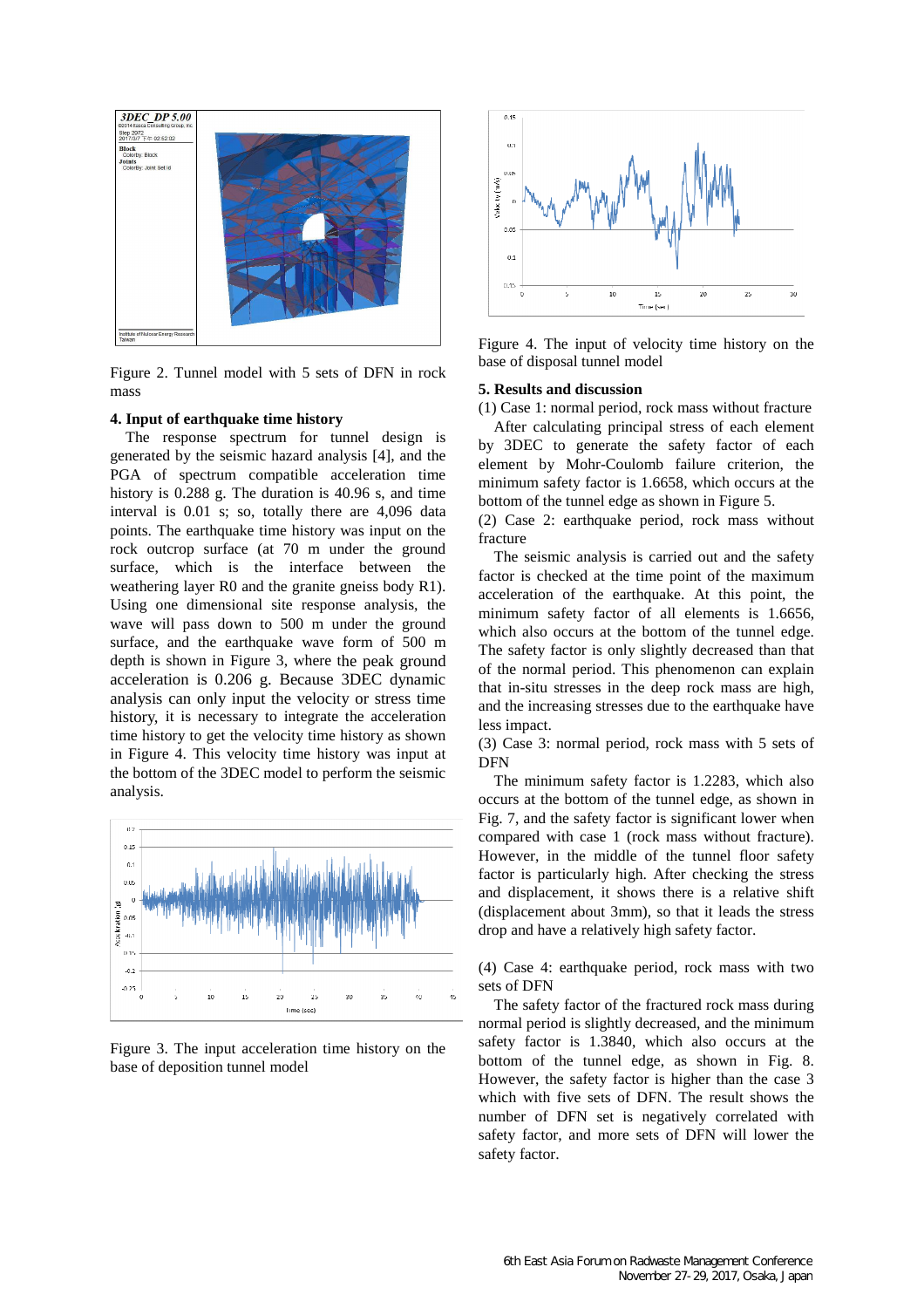

Figure 2. Tunnel model with 5 sets of DFN in rock mass

### **4. Input of earthquake time history**

The response spectrum for tunnel design is generated by the seismic hazard analysis [4], and the PGA of spectrum compatible acceleration time history is 0.288 g. The duration is 40.96 s, and time interval is 0.01 s; so, totally there are 4,096 data points. The earthquake time history was input on the rock outcrop surface (at 70 m under the ground surface, which is the interface between the weathering layer R0 and the granite gneiss body R1). Using one dimensional site response analysis, the wave will pass down to 500 m under the ground surface, and the earthquake wave form of 500 m depth is shown in Figure 3, where the peak ground acceleration is 0.206 g. Because 3DEC dynamic analysis can only input the velocity or stress time history, it is necessary to integrate the acceleration time history to get the velocity time history as shown in Figure 4. This velocity time history was input at the bottom of the 3DEC model to perform the seismic analysis.



Figure 3. The input acceleration time history on the base of deposition tunnel model



Figure 4. The input of velocity time history on the base of disposal tunnel model

#### **5. Results and discussion**

(1) Case 1: normal period, rock mass without fracture

After calculating principal stress of each element by 3DEC to generate the safety factor of each element by Mohr-Coulomb failure criterion, the minimum safety factor is 1.6658, which occurs at the bottom of the tunnel edge as shown in Figure 5.

(2) Case 2: earthquake period, rock mass without fracture

The seismic analysis is carried out and the safety factor is checked at the time point of the maximum acceleration of the earthquake. At this point, the minimum safety factor of all elements is 1.6656, which also occurs at the bottom of the tunnel edge. The safety factor is only slightly decreased than that of the normal period. This phenomenon can explain that in-situ stresses in the deep rock mass are high, and the increasing stresses due to the earthquake have less impact.

(3) Case 3: normal period, rock mass with 5 sets of DFN

The minimum safety factor is 1.2283, which also occurs at the bottom of the tunnel edge, as shown in Fig. 7, and the safety factor is significant lower when compared with case 1 (rock mass without fracture). However, in the middle of the tunnel floor safety factor is particularly high. After checking the stress and displacement, it shows there is a relative shift (displacement about 3mm), so that it leads the stress drop and have a relatively high safety factor.

(4) Case 4: earthquake period, rock mass with two sets of DFN

The safety factor of the fractured rock mass during normal period is slightly decreased, and the minimum safety factor is 1.3840, which also occurs at the bottom of the tunnel edge, as shown in Fig. 8. However, the safety factor is higher than the case 3 which with five sets of DFN. The result shows the number of DFN set is negatively correlated with safety factor, and more sets of DFN will lower the safety factor.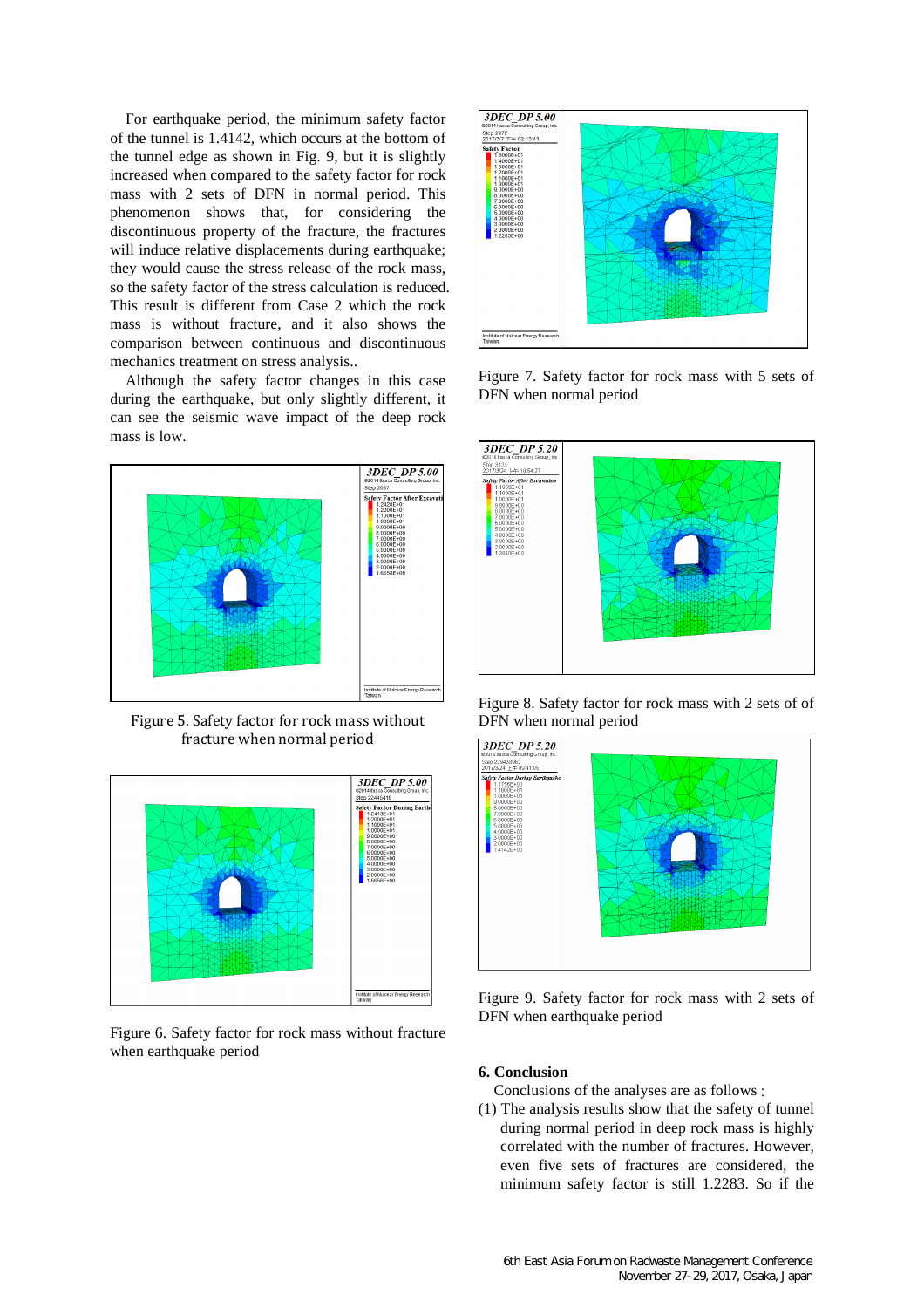For earthquake period, the minimum safety factor of the tunnel is 1.4142, which occurs at the bottom of the tunnel edge as shown in Fig. 9, but it is slightly increased when compared to the safety factor for rock mass with 2 sets of DFN in normal period. This phenomenon shows that, for considering the discontinuous property of the fracture, the fractures will induce relative displacements during earthquake; they would cause the stress release of the rock mass, so the safety factor of the stress calculation is reduced. This result is different from Case 2 which the rock mass is without fracture, and it also shows the comparison between continuous and discontinuous mechanics treatment on stress analysis..

Although the safety factor changes in this case during the earthquake, but only slightly different, it can see the seismic wave impact of the deep rock mass is low.



Figure 5. Safety factor for rock mass without fracture when normal period



Figure 6. Safety factor for rock mass without fracture when earthquake period



Figure 7. Safety factor for rock mass with 5 sets of DFN when normal period



Figure 8. Safety factor for rock mass with 2 sets of of DFN when normal period



Figure 9. Safety factor for rock mass with 2 sets of DFN when earthquake period

### **6. Conclusion**

Conclusions of the analyses are as follows :

(1) The analysis results show that the safety of tunnel during normal period in deep rock mass is highly correlated with the number of fractures. However, even five sets of fractures are considered, the minimum safety factor is still 1.2283. So if the